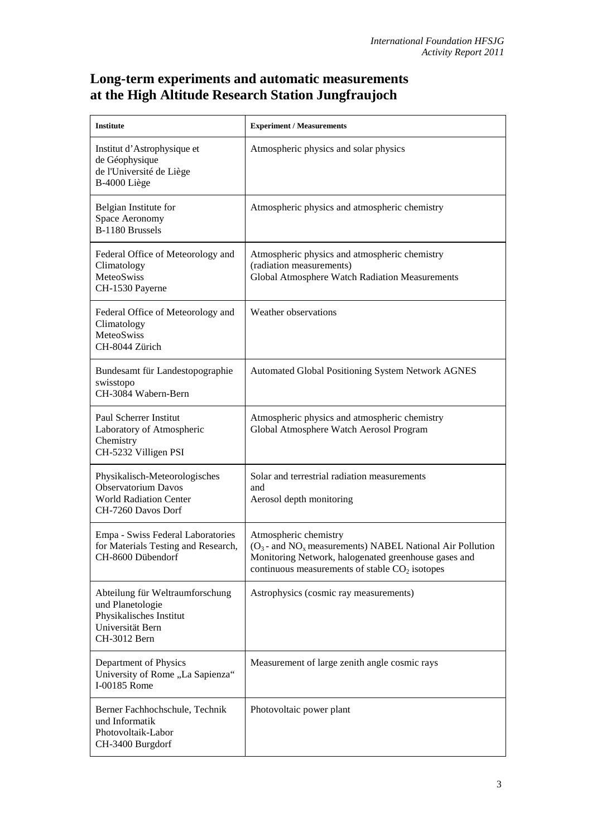## **Long-term experiments and automatic measurements at the High Altitude Research Station Jungfraujoch**

| <b>Institute</b>                                                                                                   | <b>Experiment / Measurements</b>                                                                                                                                                                             |
|--------------------------------------------------------------------------------------------------------------------|--------------------------------------------------------------------------------------------------------------------------------------------------------------------------------------------------------------|
| Institut d'Astrophysique et<br>de Géophysique<br>de l'Université de Liège<br>B-4000 Liège                          | Atmospheric physics and solar physics                                                                                                                                                                        |
| Belgian Institute for<br>Space Aeronomy<br>B-1180 Brussels                                                         | Atmospheric physics and atmospheric chemistry                                                                                                                                                                |
| Federal Office of Meteorology and<br>Climatology<br>MeteoSwiss<br>CH-1530 Payerne                                  | Atmospheric physics and atmospheric chemistry<br>(radiation measurements)<br>Global Atmosphere Watch Radiation Measurements                                                                                  |
| Federal Office of Meteorology and<br>Climatology<br>MeteoSwiss<br>CH-8044 Zürich                                   | Weather observations                                                                                                                                                                                         |
| Bundesamt für Landestopographie<br>swisstopo<br>CH-3084 Wabern-Bern                                                | <b>Automated Global Positioning System Network AGNES</b>                                                                                                                                                     |
| Paul Scherrer Institut<br>Laboratory of Atmospheric<br>Chemistry<br>CH-5232 Villigen PSI                           | Atmospheric physics and atmospheric chemistry<br>Global Atmosphere Watch Aerosol Program                                                                                                                     |
| Physikalisch-Meteorologisches<br><b>Observatorium Davos</b><br><b>World Radiation Center</b><br>CH-7260 Davos Dorf | Solar and terrestrial radiation measurements<br>and<br>Aerosol depth monitoring                                                                                                                              |
| Empa - Swiss Federal Laboratories<br>for Materials Testing and Research,<br>CH-8600 Dübendorf                      | Atmospheric chemistry<br>$(O_3$ - and NO <sub>x</sub> measurements) NABEL National Air Pollution<br>Monitoring Network, halogenated greenhouse gases and<br>continuous measurements of stable $CO2$ isotopes |
| Abteilung für Weltraumforschung<br>und Planetologie<br>Physikalisches Institut<br>Universität Bern<br>CH-3012 Bern | Astrophysics (cosmic ray measurements)                                                                                                                                                                       |
| Department of Physics<br>University of Rome "La Sapienza"<br>I-00185 Rome                                          | Measurement of large zenith angle cosmic rays                                                                                                                                                                |
| Berner Fachhochschule, Technik<br>und Informatik<br>Photovoltaik-Labor<br>CH-3400 Burgdorf                         | Photovoltaic power plant                                                                                                                                                                                     |